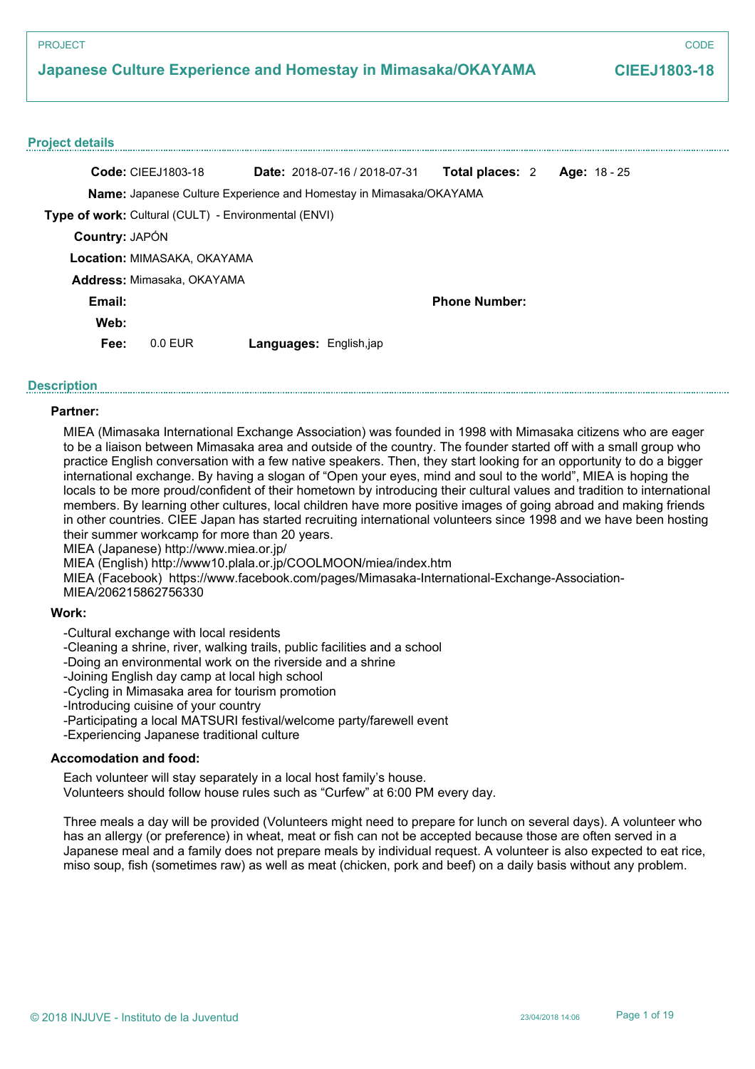# **Japanese Culture Experience and Homestay in Mimasaka/OKAYAMA**

## **CIEEJ1803-18**

### **Project details**

|                | <b>Code: CIEEJ1803-18</b>                                                 | Date: 2018-07-16 / 2018-07-31 | <b>Total places: 2</b> |  | Age: $18 - 25$ |
|----------------|---------------------------------------------------------------------------|-------------------------------|------------------------|--|----------------|
|                | <b>Name:</b> Japanese Culture Experience and Homestay in Mimasaka/OKAYAMA |                               |                        |  |                |
|                | Type of work: Cultural (CULT) - Environmental (ENVI)                      |                               |                        |  |                |
| Country: JAPÓN |                                                                           |                               |                        |  |                |
|                | Location: MIMASAKA, OKAYAMA                                               |                               |                        |  |                |
|                | Address: Mimasaka, OKAYAMA                                                |                               |                        |  |                |
| Email:         |                                                                           |                               | <b>Phone Number:</b>   |  |                |
| Web:           |                                                                           |                               |                        |  |                |
| Fee:           | $0.0$ EUR                                                                 | <b>Languages: English,jap</b> |                        |  |                |

## **Description**

## **Partner:**

MIEA (Mimasaka International Exchange Association) was founded in 1998 with Mimasaka citizens who are eager to be a liaison between Mimasaka area and outside of the country. The founder started off with a small group who practice English conversation with a few native speakers. Then, they start looking for an opportunity to do a bigger international exchange. By having a slogan of "Open your eyes, mind and soul to the world", MIEA is hoping the locals to be more proud/confident of their hometown by introducing their cultural values and tradition to international members. By learning other cultures, local children have more positive images of going abroad and making friends in other countries. CIEE Japan has started recruiting international volunteers since 1998 and we have been hosting their summer workcamp for more than 20 years.

MIEA (Japanese) http://www.miea.or.jp/

MIEA (English) http://www10.plala.or.jp/COOLMOON/miea/index.htm

MIEA (Facebook) https://www.facebook.com/pages/Mimasaka-International-Exchange-Association-

MIEA/206215862756330

### **Work:**

-Cultural exchange with local residents

-Cleaning a shrine, river, walking trails, public facilities and a school

-Doing an environmental work on the riverside and a shrine

-Joining English day camp at local high school

-Cycling in Mimasaka area for tourism promotion

-Introducing cuisine of your country

-Participating a local MATSURI festival/welcome party/farewell event

-Experiencing Japanese traditional culture

## **Accomodation and food:**

Each volunteer will stay separately in a local host family's house.

Volunteers should follow house rules such as "Curfew" at 6:00 PM every day.

Three meals a day will be provided (Volunteers might need to prepare for lunch on several days). A volunteer who has an allergy (or preference) in wheat, meat or fish can not be accepted because those are often served in a Japanese meal and a family does not prepare meals by individual request. A volunteer is also expected to eat rice, miso soup, fish (sometimes raw) as well as meat (chicken, pork and beef) on a daily basis without any problem.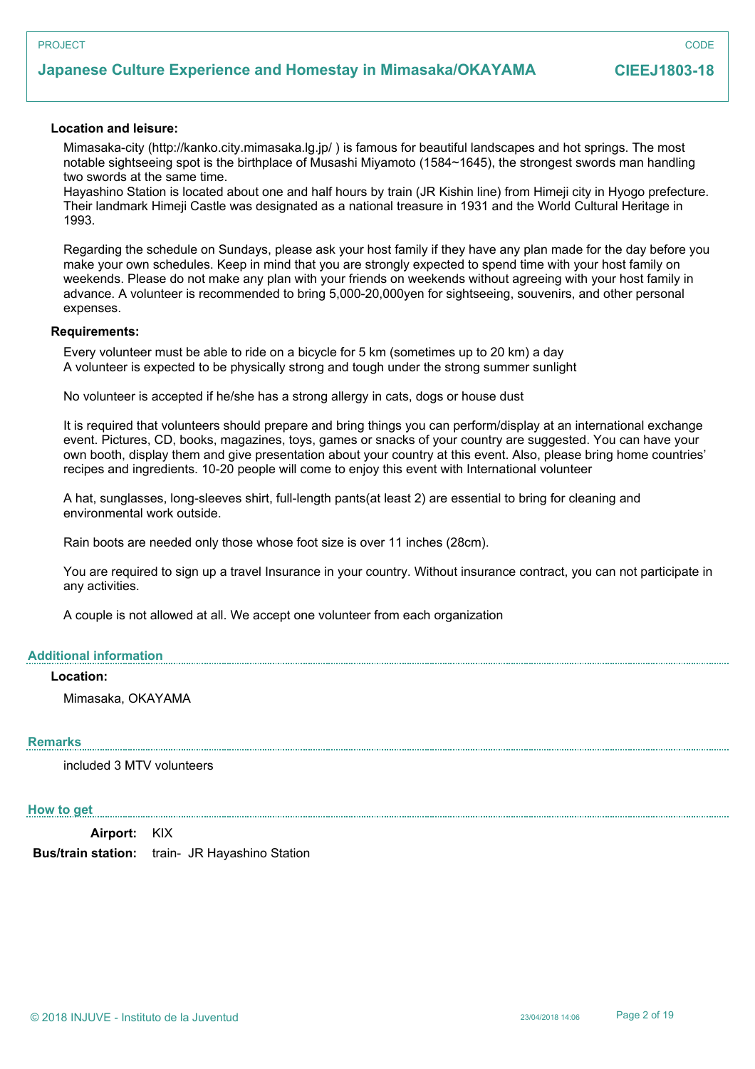# **Japanese Culture Experience and Homestay in Mimasaka/OKAYAMA**

**CODE** 

## **Location and leisure:**

Mimasaka-city (http://kanko.city.mimasaka.lg.jp/ ) is famous for beautiful landscapes and hot springs. The most notable sightseeing spot is the birthplace of Musashi Miyamoto (1584~1645), the strongest swords man handling two swords at the same time.

Hayashino Station is located about one and half hours by train (JR Kishin line) from Himeji city in Hyogo prefecture. Their landmark Himeji Castle was designated as a national treasure in 1931 and the World Cultural Heritage in 1993.

Regarding the schedule on Sundays, please ask your host family if they have any plan made for the day before you make your own schedules. Keep in mind that you are strongly expected to spend time with your host family on weekends. Please do not make any plan with your friends on weekends without agreeing with your host family in advance. A volunteer is recommended to bring 5,000-20,000yen for sightseeing, souvenirs, and other personal expenses.

### **Requirements:**

Every volunteer must be able to ride on a bicycle for 5 km (sometimes up to 20 km) a day A volunteer is expected to be physically strong and tough under the strong summer sunlight

No volunteer is accepted if he/she has a strong allergy in cats, dogs or house dust

It is required that volunteers should prepare and bring things you can perform/display at an international exchange event. Pictures, CD, books, magazines, toys, games or snacks of your country are suggested. You can have your own booth, display them and give presentation about your country at this event. Also, please bring home countries' recipes and ingredients. 10-20 people will come to enjoy this event with International volunteer

A hat, sunglasses, long-sleeves shirt, full-length pants(at least 2) are essential to bring for cleaning and environmental work outside.

Rain boots are needed only those whose foot size is over 11 inches (28cm).

You are required to sign up a travel Insurance in your country. Without insurance contract, you can not participate in any activities.

A couple is not allowed at all. We accept one volunteer from each organization

## **Additional information**

## **Location:**

Mimasaka, OKAYAMA

## **Remarks**

included 3 MTV volunteers

### **How to get**

**Airport:** KIX **Bus/train station:** train- JR Hayashino Station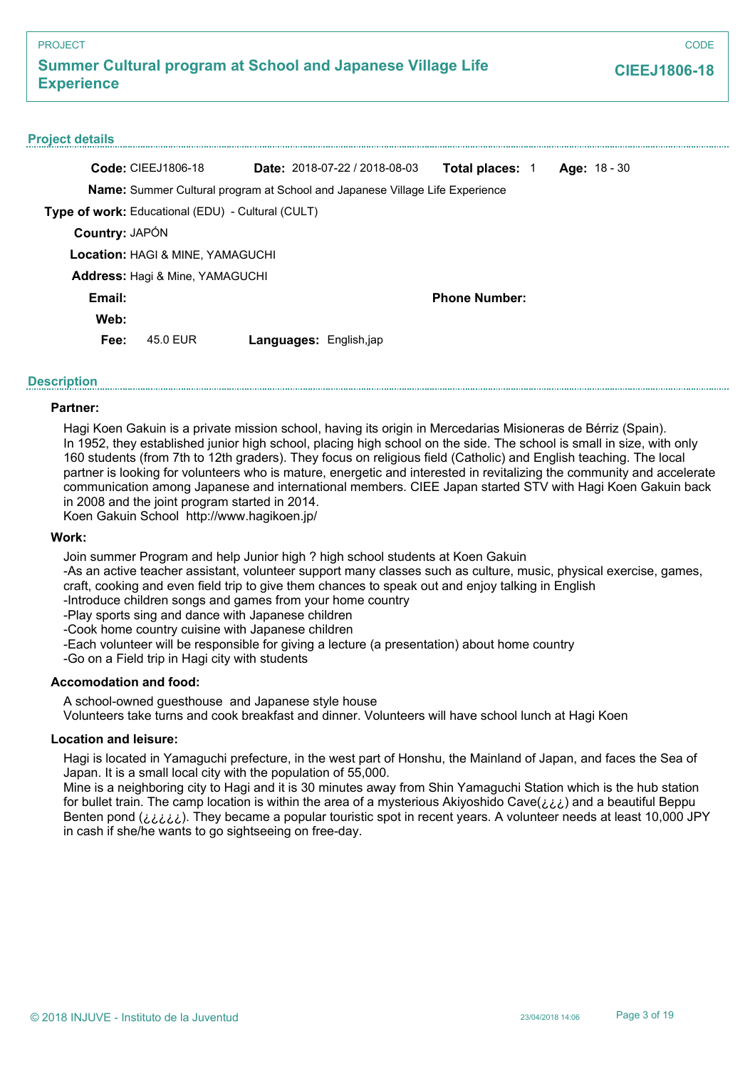| <b>PROJECT</b>                                                                          |                                             |                                                                                     |                        | CODE                |
|-----------------------------------------------------------------------------------------|---------------------------------------------|-------------------------------------------------------------------------------------|------------------------|---------------------|
| <b>Summer Cultural program at School and Japanese Village Life</b><br><b>Experience</b> |                                             |                                                                                     |                        | <b>CIEEJ1806-18</b> |
| <b>Project details</b>                                                                  |                                             |                                                                                     |                        |                     |
|                                                                                         | <b>Code: CIEEJ1806-18</b>                   | <b>Date: 2018-07-22 / 2018-08-03</b>                                                | <b>Total places: 1</b> | <b>Age: 18 - 30</b> |
|                                                                                         |                                             | <b>Name:</b> Summer Cultural program at School and Japanese Village Life Experience |                        |                     |
|                                                                                         |                                             | Type of work: Educational (EDU) - Cultural (CULT)                                   |                        |                     |
| Country: JAPÓN                                                                          |                                             |                                                                                     |                        |                     |
|                                                                                         | <b>Location: HAGI &amp; MINE, YAMAGUCHI</b> |                                                                                     |                        |                     |
|                                                                                         | Address: Hagi & Mine, YAMAGUCHI             |                                                                                     |                        |                     |
| Email:                                                                                  |                                             |                                                                                     | <b>Phone Number:</b>   |                     |
| Web:                                                                                    |                                             |                                                                                     |                        |                     |
| Fee:                                                                                    | 45.0 EUR                                    | Languages: English,jap                                                              |                        |                     |

## **Description**

## **Partner:**

Hagi Koen Gakuin is a private mission school, having its origin in Mercedarias Misioneras de Bérriz (Spain). In 1952, they established junior high school, placing high school on the side. The school is small in size, with only 160 students (from 7th to 12th graders). They focus on religious field (Catholic) and English teaching. The local partner is looking for volunteers who is mature, energetic and interested in revitalizing the community and accelerate communication among Japanese and international members. CIEE Japan started STV with Hagi Koen Gakuin back in 2008 and the joint program started in 2014.

Koen Gakuin School http://www.hagikoen.jp/

## **Work:**

Join summer Program and help Junior high ? high school students at Koen Gakuin

-As an active teacher assistant, volunteer support many classes such as culture, music, physical exercise, games, craft, cooking and even field trip to give them chances to speak out and enjoy talking in English

-Introduce children songs and games from your home country

-Play sports sing and dance with Japanese children

-Cook home country cuisine with Japanese children

-Each volunteer will be responsible for giving a lecture (a presentation) about home country

-Go on a Field trip in Hagi city with students

## **Accomodation and food:**

A school-owned guesthouse and Japanese style house

Volunteers take turns and cook breakfast and dinner. Volunteers will have school lunch at Hagi Koen

### **Location and leisure:**

Hagi is located in Yamaguchi prefecture, in the west part of Honshu, the Mainland of Japan, and faces the Sea of Japan. It is a small local city with the population of 55,000.

Mine is a neighboring city to Hagi and it is 30 minutes away from Shin Yamaguchi Station which is the hub station for bullet train. The camp location is within the area of a mysterious Akiyoshido Cave(¿¿¿) and a beautiful Beppu Benten pond (*¿¿¿*¿). They became a popular touristic spot in recent years. A volunteer needs at least 10,000 JPY in cash if she/he wants to go sightseeing on free-day.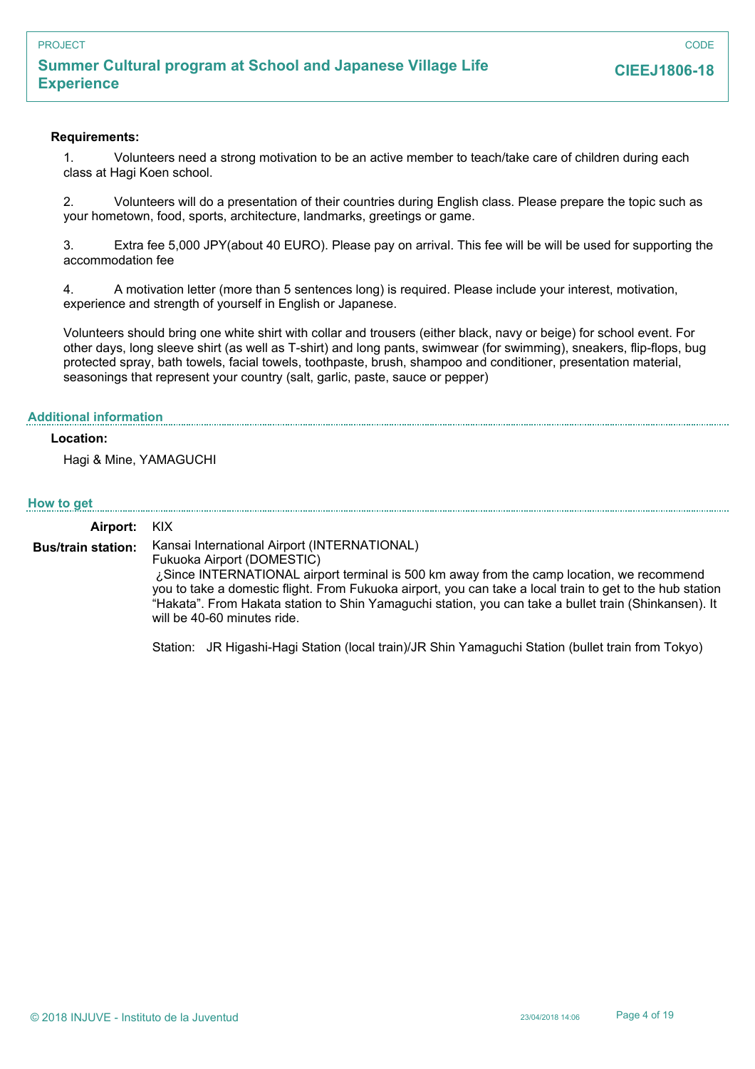## **Requirements:**

1. Volunteers need a strong motivation to be an active member to teach/take care of children during each class at Hagi Koen school.

2. Volunteers will do a presentation of their countries during English class. Please prepare the topic such as your hometown, food, sports, architecture, landmarks, greetings or game.

3. Extra fee 5,000 JPY(about 40 EURO). Please pay on arrival. This fee will be will be used for supporting the accommodation fee

4. A motivation letter (more than 5 sentences long) is required. Please include your interest, motivation, experience and strength of yourself in English or Japanese.

Volunteers should bring one white shirt with collar and trousers (either black, navy or beige) for school event. For other days, long sleeve shirt (as well as T-shirt) and long pants, swimwear (for swimming), sneakers, flip-flops, bug protected spray, bath towels, facial towels, toothpaste, brush, shampoo and conditioner, presentation material, seasonings that represent your country (salt, garlic, paste, sauce or pepper)

### **Additional information**

## **Location:**

Hagi & Mine, YAMAGUCHI

### **How to get**

**Airport:** KIX

Kansai International Airport (INTERNATIONAL) Fukuoka Airport (DOMESTIC) ¿Since INTERNATIONAL airport terminal is 500 km away from the camp location, we recommend you to take a domestic flight. From Fukuoka airport, you can take a local train to get to the hub station "Hakata". From Hakata station to Shin Yamaguchi station, you can take a bullet train (Shinkansen). It will be 40-60 minutes ride. **Bus/train station:**

Station: JR Higashi-Hagi Station (local train)/JR Shin Yamaguchi Station (bullet train from Tokyo)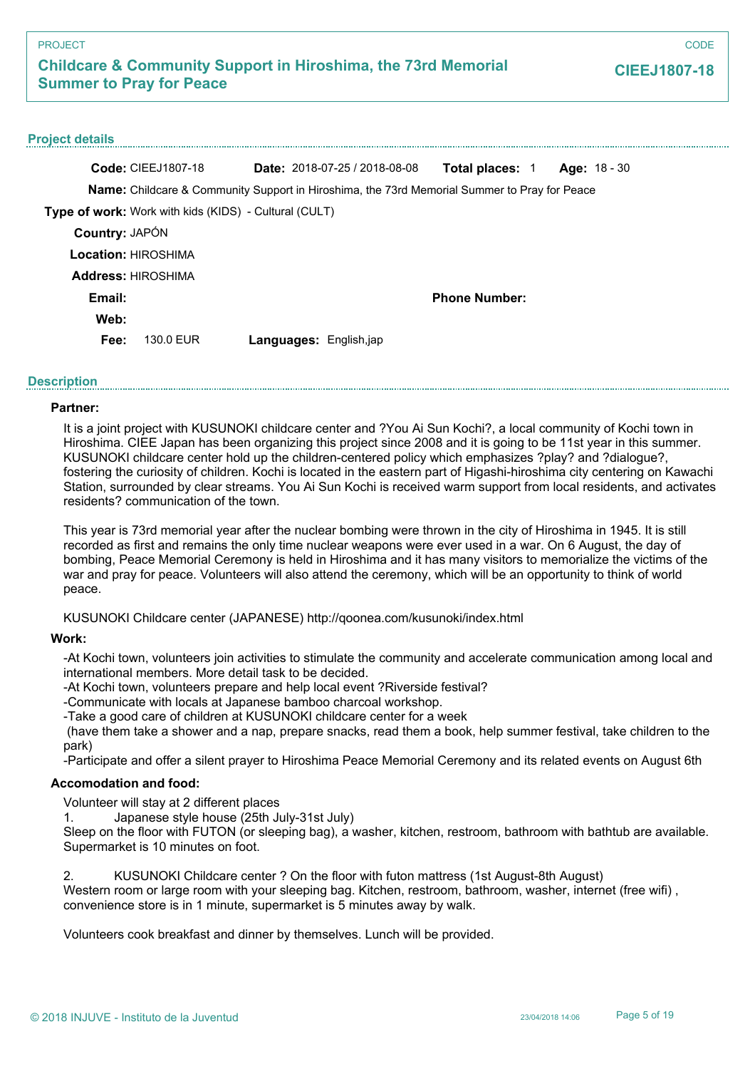**CODE** 

## **Project details**

|                       | <b>Code: CIEEJ1807-18</b>                                                                    |                               | <b>Date:</b> $2018-07-25/2018-08-08$ | <b>Total places: 1</b> | Age: $18 - 30$ |
|-----------------------|----------------------------------------------------------------------------------------------|-------------------------------|--------------------------------------|------------------------|----------------|
|                       | Name: Childcare & Community Support in Hiroshima, the 73rd Memorial Summer to Pray for Peace |                               |                                      |                        |                |
|                       | <b>Type of work:</b> Work with kids (KIDS) - Cultural (CULT)                                 |                               |                                      |                        |                |
| <b>Country: JAPÓN</b> |                                                                                              |                               |                                      |                        |                |
|                       | Location: HIROSHIMA                                                                          |                               |                                      |                        |                |
|                       | <b>Address: HIROSHIMA</b>                                                                    |                               |                                      |                        |                |
| Email:                |                                                                                              |                               |                                      | <b>Phone Number:</b>   |                |
| Web:                  |                                                                                              |                               |                                      |                        |                |
| Fee:                  | 130.0 EUR                                                                                    | <b>Languages: English,jap</b> |                                      |                        |                |
|                       |                                                                                              |                               |                                      |                        |                |

## **Description**

## **Partner:**

It is a joint project with KUSUNOKI childcare center and ?You Ai Sun Kochi?, a local community of Kochi town in Hiroshima. CIEE Japan has been organizing this project since 2008 and it is going to be 11st year in this summer. KUSUNOKI childcare center hold up the children-centered policy which emphasizes ?play? and ?dialogue?, fostering the curiosity of children. Kochi is located in the eastern part of Higashi-hiroshima city centering on Kawachi Station, surrounded by clear streams. You Ai Sun Kochi is received warm support from local residents, and activates residents? communication of the town.

This year is 73rd memorial year after the nuclear bombing were thrown in the city of Hiroshima in 1945. It is still recorded as first and remains the only time nuclear weapons were ever used in a war. On 6 August, the day of bombing, Peace Memorial Ceremony is held in Hiroshima and it has many visitors to memorialize the victims of the war and pray for peace. Volunteers will also attend the ceremony, which will be an opportunity to think of world peace.

KUSUNOKI Childcare center (JAPANESE) http://qoonea.com/kusunoki/index.html

## **Work:**

-At Kochi town, volunteers join activities to stimulate the community and accelerate communication among local and international members. More detail task to be decided.

-At Kochi town, volunteers prepare and help local event ?Riverside festival?

-Communicate with locals at Japanese bamboo charcoal workshop.

-Take a good care of children at KUSUNOKI childcare center for a week

 (have them take a shower and a nap, prepare snacks, read them a book, help summer festival, take children to the park)

-Participate and offer a silent prayer to Hiroshima Peace Memorial Ceremony and its related events on August 6th

## **Accomodation and food:**

Volunteer will stay at 2 different places

1. Japanese style house (25th July-31st July)

Sleep on the floor with FUTON (or sleeping bag), a washer, kitchen, restroom, bathroom with bathtub are available. Supermarket is 10 minutes on foot.

KUSUNOKI Childcare center ? On the floor with futon mattress (1st August-8th August) Western room or large room with your sleeping bag. Kitchen, restroom, bathroom, washer, internet (free wifi) , convenience store is in 1 minute, supermarket is 5 minutes away by walk.

Volunteers cook breakfast and dinner by themselves. Lunch will be provided.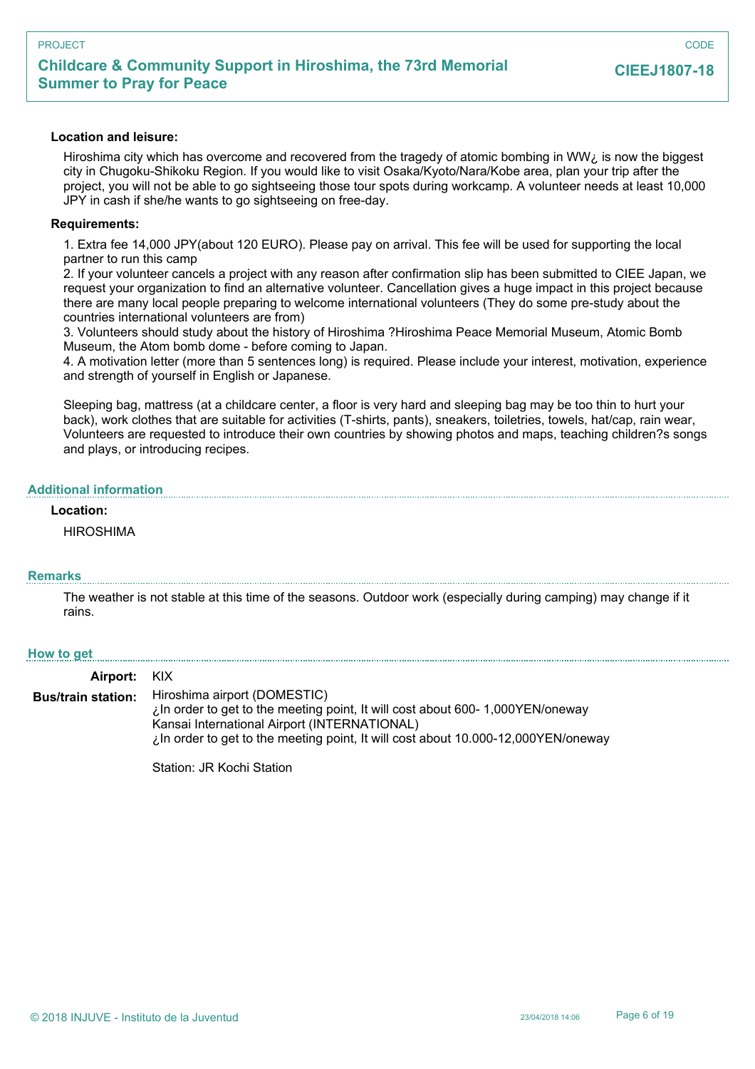### **Location and leisure:**

Hiroshima city which has overcome and recovered from the tragedy of atomic bombing in WW $\zeta$  is now the biggest city in Chugoku-Shikoku Region. If you would like to visit Osaka/Kyoto/Nara/Kobe area, plan your trip after the project, you will not be able to go sightseeing those tour spots during workcamp. A volunteer needs at least 10,000 JPY in cash if she/he wants to go sightseeing on free-day.

### **Requirements:**

1. Extra fee 14,000 JPY(about 120 EURO). Please pay on arrival. This fee will be used for supporting the local partner to run this camp

2. If your volunteer cancels a project with any reason after confirmation slip has been submitted to CIEE Japan, we request your organization to find an alternative volunteer. Cancellation gives a huge impact in this project because there are many local people preparing to welcome international volunteers (They do some pre-study about the countries international volunteers are from)

3. Volunteers should study about the history of Hiroshima ?Hiroshima Peace Memorial Museum, Atomic Bomb Museum, the Atom bomb dome - before coming to Japan.

4. A motivation letter (more than 5 sentences long) is required. Please include your interest, motivation, experience and strength of yourself in English or Japanese.

Sleeping bag, mattress (at a childcare center, a floor is very hard and sleeping bag may be too thin to hurt your back), work clothes that are suitable for activities (T-shirts, pants), sneakers, toiletries, towels, hat/cap, rain wear, Volunteers are requested to introduce their own countries by showing photos and maps, teaching children?s songs and plays, or introducing recipes.

## **Additional information**

### **Location:**

HIROSHIMA

## **Remarks**

The weather is not stable at this time of the seasons. Outdoor work (especially during camping) may change if it rains.

### **How to get**

**Airport:** KIX Hiroshima airport (DOMESTIC) ¿In order to get to the meeting point, It will cost about 600- 1,000YEN/oneway Kansai International Airport (INTERNATIONAL) ¿In order to get to the meeting point, It will cost about 10.000-12,000YEN/oneway **Bus/train station:**

Station: JR Kochi Station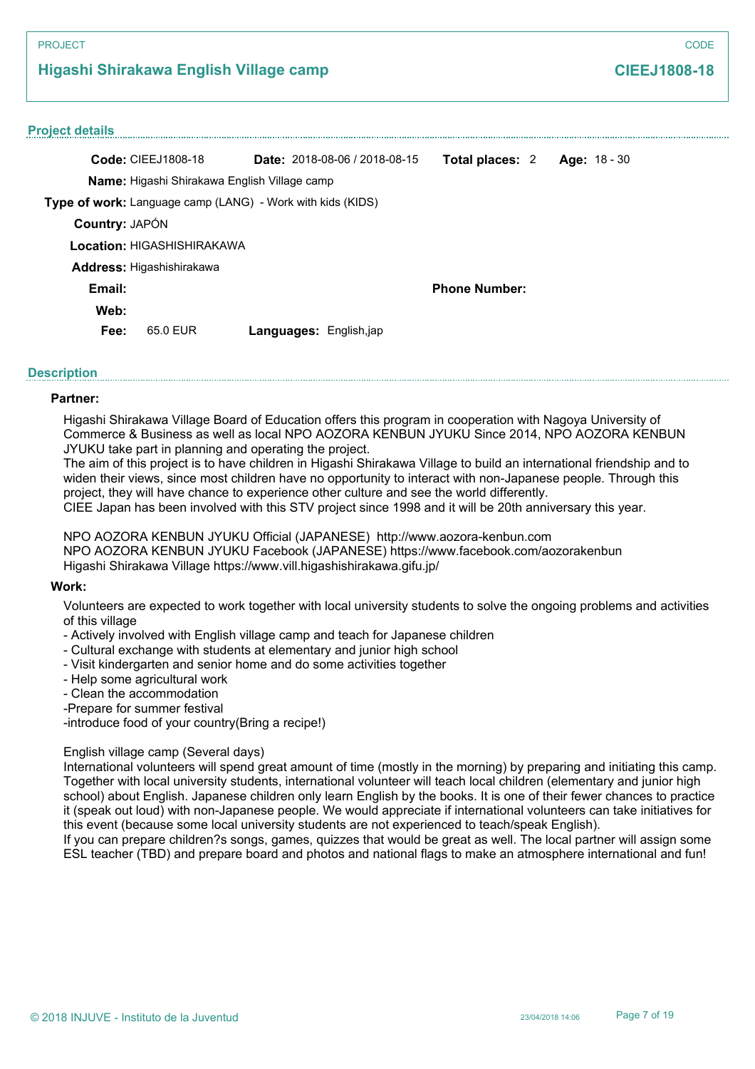# **Higashi Shirakawa English Village camp**

# **CIEEJ1808-18**

| <b>Project details</b> |                                                            |                               |                                      |                        |                     |  |
|------------------------|------------------------------------------------------------|-------------------------------|--------------------------------------|------------------------|---------------------|--|
|                        | <b>Code: CIEEJ1808-18</b>                                  |                               | <b>Date: 2018-08-06 / 2018-08-15</b> | <b>Total places: 2</b> | <b>Age: 18 - 30</b> |  |
|                        | <b>Name:</b> Higashi Shirakawa English Village camp        |                               |                                      |                        |                     |  |
|                        | Type of work: Language camp (LANG) - Work with kids (KIDS) |                               |                                      |                        |                     |  |
| Country: JAPÓN         |                                                            |                               |                                      |                        |                     |  |
|                        | Location: HIGASHISHIRAKAWA                                 |                               |                                      |                        |                     |  |
|                        | Address: Higashishirakawa                                  |                               |                                      |                        |                     |  |
| Email:                 |                                                            |                               |                                      | <b>Phone Number:</b>   |                     |  |
| Web:                   |                                                            |                               |                                      |                        |                     |  |
| Fee:                   | 65.0 FUR                                                   | <b>Languages:</b> English,jap |                                      |                        |                     |  |
|                        |                                                            |                               |                                      |                        |                     |  |

## **Description**

## **Partner:**

Higashi Shirakawa Village Board of Education offers this program in cooperation with Nagoya University of Commerce & Business as well as local NPO AOZORA KENBUN JYUKU Since 2014, NPO AOZORA KENBUN JYUKU take part in planning and operating the project.

The aim of this project is to have children in Higashi Shirakawa Village to build an international friendship and to widen their views, since most children have no opportunity to interact with non-Japanese people. Through this project, they will have chance to experience other culture and see the world differently.

CIEE Japan has been involved with this STV project since 1998 and it will be 20th anniversary this year.

NPO AOZORA KENBUN JYUKU Official (JAPANESE) http://www.aozora-kenbun.com NPO AOZORA KENBUN JYUKU Facebook (JAPANESE) https://www.facebook.com/aozorakenbun Higashi Shirakawa Village https://www.vill.higashishirakawa.gifu.jp/

## **Work:**

Volunteers are expected to work together with local university students to solve the ongoing problems and activities of this village

- Actively involved with English village camp and teach for Japanese children
- Cultural exchange with students at elementary and junior high school
- Visit kindergarten and senior home and do some activities together
- Help some agricultural work
- Clean the accommodation
- -Prepare for summer festival

-introduce food of your country(Bring a recipe!)

## English village camp (Several days)

International volunteers will spend great amount of time (mostly in the morning) by preparing and initiating this camp. Together with local university students, international volunteer will teach local children (elementary and junior high school) about English. Japanese children only learn English by the books. It is one of their fewer chances to practice it (speak out loud) with non-Japanese people. We would appreciate if international volunteers can take initiatives for this event (because some local university students are not experienced to teach/speak English).

If you can prepare children?s songs, games, quizzes that would be great as well. The local partner will assign some ESL teacher (TBD) and prepare board and photos and national flags to make an atmosphere international and fun!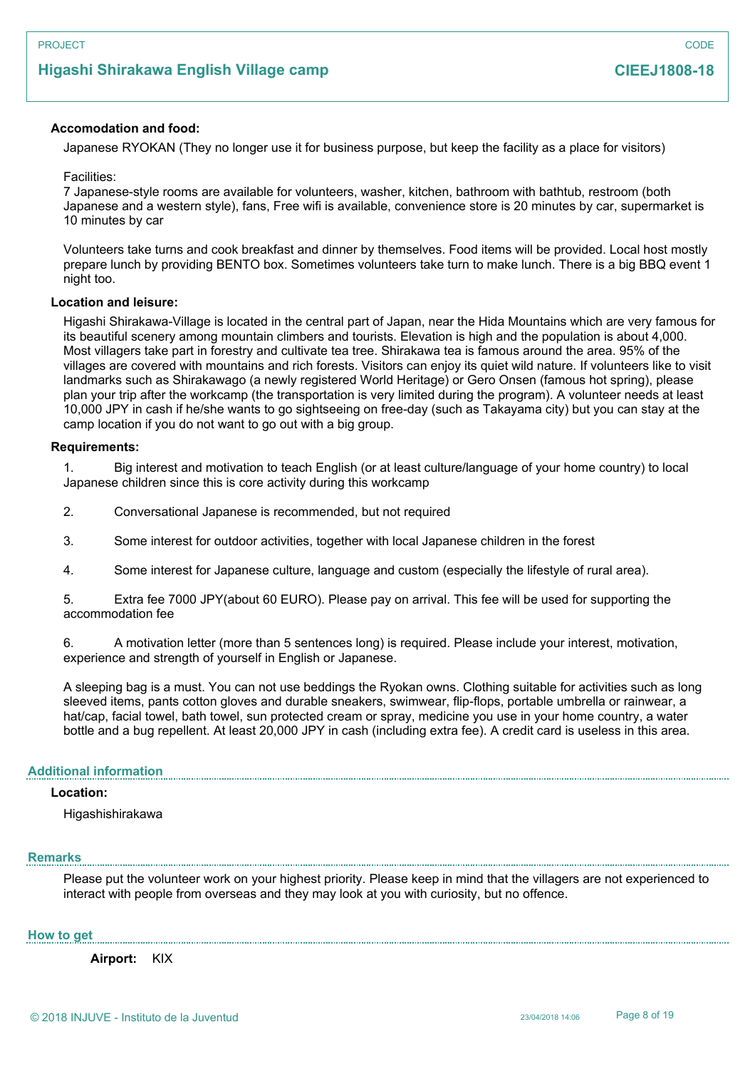# **Higashi Shirakawa English Village camp**

## **Accomodation and food:**

Japanese RYOKAN (They no longer use it for business purpose, but keep the facility as a place for visitors)

Facilities:

7 Japanese-style rooms are available for volunteers, washer, kitchen, bathroom with bathtub, restroom (both Japanese and a western style), fans, Free wifi is available, convenience store is 20 minutes by car, supermarket is 10 minutes by car

Volunteers take turns and cook breakfast and dinner by themselves. Food items will be provided. Local host mostly prepare lunch by providing BENTO box. Sometimes volunteers take turn to make lunch. There is a big BBQ event 1 night too.

### **Location and leisure:**

Higashi Shirakawa-Village is located in the central part of Japan, near the Hida Mountains which are very famous for its beautiful scenery among mountain climbers and tourists. Elevation is high and the population is about 4,000. Most villagers take part in forestry and cultivate tea tree. Shirakawa tea is famous around the area. 95% of the villages are covered with mountains and rich forests. Visitors can enjoy its quiet wild nature. If volunteers like to visit landmarks such as Shirakawago (a newly registered World Heritage) or Gero Onsen (famous hot spring), please plan your trip after the workcamp (the transportation is very limited during the program). A volunteer needs at least 10,000 JPY in cash if he/she wants to go sightseeing on free-day (such as Takayama city) but you can stay at the camp location if you do not want to go out with a big group.

### **Requirements:**

1. Big interest and motivation to teach English (or at least culture/language of your home country) to local Japanese children since this is core activity during this workcamp

2. Conversational Japanese is recommended, but not required

3. Some interest for outdoor activities, together with local Japanese children in the forest

4. Some interest for Japanese culture, language and custom (especially the lifestyle of rural area).

5. Extra fee 7000 JPY(about 60 EURO). Please pay on arrival. This fee will be used for supporting the accommodation fee

6. A motivation letter (more than 5 sentences long) is required. Please include your interest, motivation, experience and strength of yourself in English or Japanese.

A sleeping bag is a must. You can not use beddings the Ryokan owns. Clothing suitable for activities such as long sleeved items, pants cotton gloves and durable sneakers, swimwear, flip-flops, portable umbrella or rainwear, a hat/cap, facial towel, bath towel, sun protected cream or spray, medicine you use in your home country, a water bottle and a bug repellent. At least 20,000 JPY in cash (including extra fee). A credit card is useless in this area.

### **Additional information**

## **Location:**

Higashishirakawa

### **Remarks**

Please put the volunteer work on your highest priority. Please keep in mind that the villagers are not experienced to interact with people from overseas and they may look at you with curiosity, but no offence.

### **How to get**

**Airport:** KIX

**CIEEJ1808-18**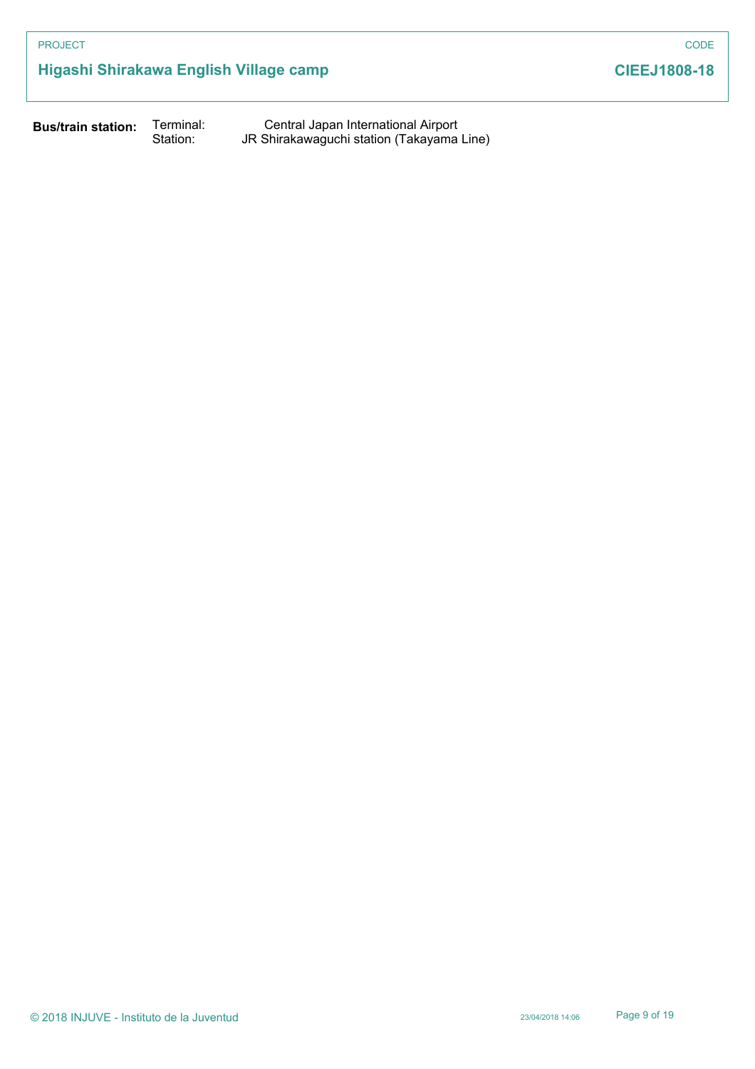# **Higashi Shirakawa English Village camp**

**CIEEJ1808-18**

**Bus/train station:**

Terminal: Central Japan International Airport Station: JR Shirakawaguchi station (Takayama Line)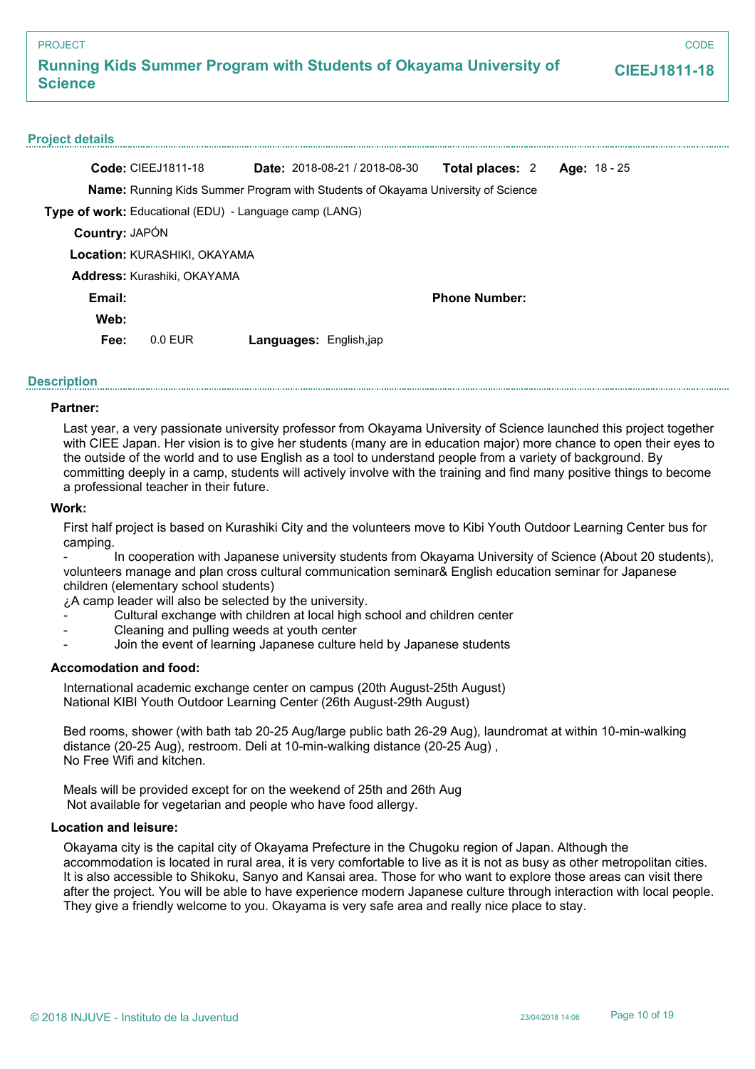**CODE** 

## **Project details**

|                       | <b>Code: CIEEJ1811-18</b>                                                               |                        | <b>Date:</b> $2018-08-21/2018-08-30$ | <b>Total places: 2</b> | Age: 18 - 25 |  |  |
|-----------------------|-----------------------------------------------------------------------------------------|------------------------|--------------------------------------|------------------------|--------------|--|--|
|                       | <b>Name:</b> Running Kids Summer Program with Students of Okayama University of Science |                        |                                      |                        |              |  |  |
|                       | Type of work: Educational (EDU) - Language camp (LANG)                                  |                        |                                      |                        |              |  |  |
| <b>Country: JAPÓN</b> |                                                                                         |                        |                                      |                        |              |  |  |
|                       | <b>Location: KURASHIKI, OKAYAMA</b>                                                     |                        |                                      |                        |              |  |  |
|                       | <b>Address: Kurashiki, OKAYAMA</b>                                                      |                        |                                      |                        |              |  |  |
| Email:                |                                                                                         |                        |                                      | <b>Phone Number:</b>   |              |  |  |
| Web:                  |                                                                                         |                        |                                      |                        |              |  |  |
| Fee:                  | $0.0$ EUR                                                                               | Languages: English,jap |                                      |                        |              |  |  |

## **Description**

## **Partner:**

Last year, a very passionate university professor from Okayama University of Science launched this project together with CIEE Japan. Her vision is to give her students (many are in education major) more chance to open their eyes to the outside of the world and to use English as a tool to understand people from a variety of background. By committing deeply in a camp, students will actively involve with the training and find many positive things to become a professional teacher in their future.

### **Work:**

First half project is based on Kurashiki City and the volunteers move to Kibi Youth Outdoor Learning Center bus for camping.

- In cooperation with Japanese university students from Okayama University of Science (About 20 students), volunteers manage and plan cross cultural communication seminar& English education seminar for Japanese children (elementary school students)

¿A camp leader will also be selected by the university.

- Cultural exchange with children at local high school and children center
- Cleaning and pulling weeds at youth center
- Join the event of learning Japanese culture held by Japanese students

## **Accomodation and food:**

International academic exchange center on campus (20th August-25th August) National KIBI Youth Outdoor Learning Center (26th August-29th August)

Bed rooms, shower (with bath tab 20-25 Aug/large public bath 26-29 Aug), laundromat at within 10-min-walking distance (20-25 Aug), restroom. Deli at 10-min-walking distance (20-25 Aug) , No Free Wifi and kitchen.

Meals will be provided except for on the weekend of 25th and 26th Aug Not available for vegetarian and people who have food allergy.

## **Location and leisure:**

Okayama city is the capital city of Okayama Prefecture in the Chugoku region of Japan. Although the accommodation is located in rural area, it is very comfortable to live as it is not as busy as other metropolitan cities. It is also accessible to Shikoku, Sanyo and Kansai area. Those for who want to explore those areas can visit there after the project. You will be able to have experience modern Japanese culture through interaction with local people. They give a friendly welcome to you. Okayama is very safe area and really nice place to stay.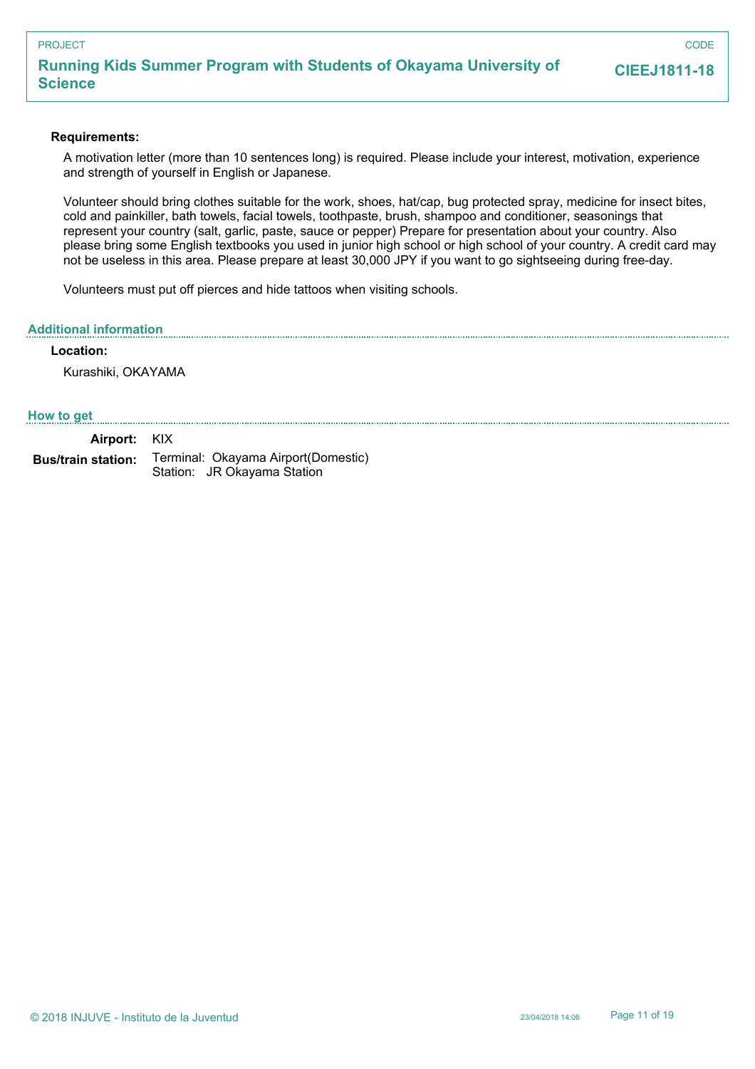## **Running Kids Summer Program with Students of Okayama University of Science**

**CODE** 

## **Requirements:**

A motivation letter (more than 10 sentences long) is required. Please include your interest, motivation, experience and strength of yourself in English or Japanese.

Volunteer should bring clothes suitable for the work, shoes, hat/cap, bug protected spray, medicine for insect bites, cold and painkiller, bath towels, facial towels, toothpaste, brush, shampoo and conditioner, seasonings that represent your country (salt, garlic, paste, sauce or pepper) Prepare for presentation about your country. Also please bring some English textbooks you used in junior high school or high school of your country. A credit card may not be useless in this area. Please prepare at least 30,000 JPY if you want to go sightseeing during free-day.

Volunteers must put off pierces and hide tattoos when visiting schools.

### **Additional information**

## **Location:**

Kurashiki, OKAYAMA

### **How to get**

| Airport: KIX              |                                                                     |
|---------------------------|---------------------------------------------------------------------|
| <b>Bus/train station:</b> | Terminal: Okayama Airport (Domestic)<br>Station: JR Okayama Station |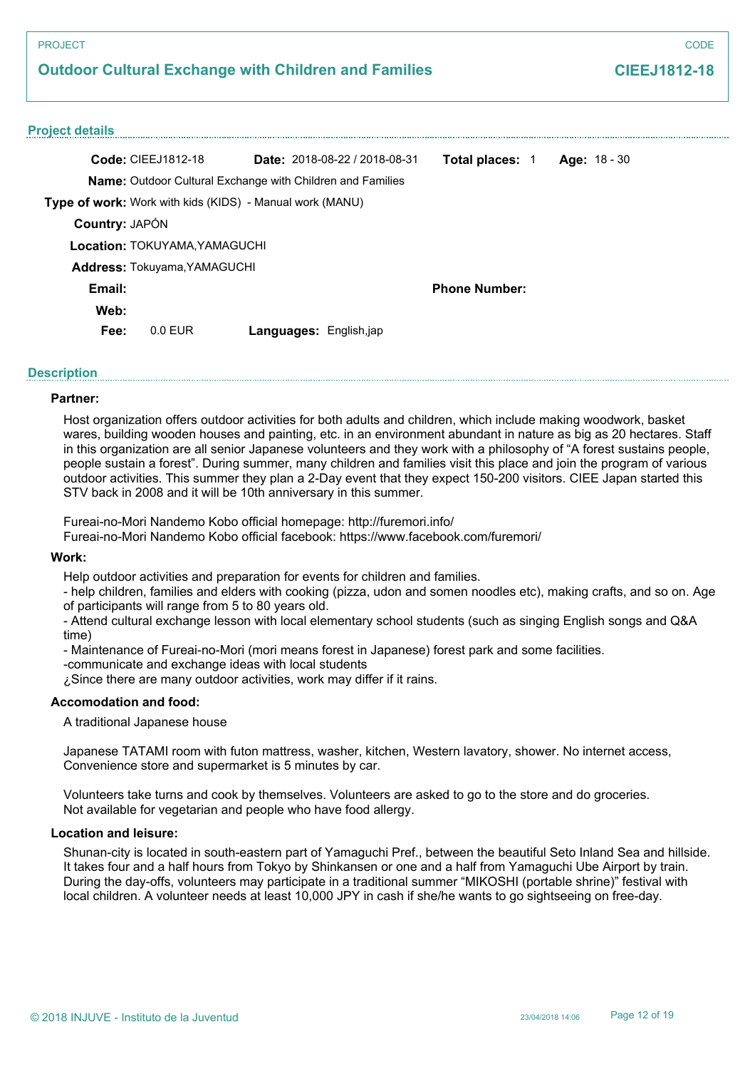# **Outdoor Cultural Exchange with Children and Families**

# **CIEEJ1812-18**

### **Project details**

| <b>Code: CIEEJ1812-18</b>                                |                                                                   | <b>Date:</b> $2018-08-22/2018-08-31$ | <b>Total places: 1</b> | Age: 18 - 30 |
|----------------------------------------------------------|-------------------------------------------------------------------|--------------------------------------|------------------------|--------------|
|                                                          | <b>Name:</b> Outdoor Cultural Exchange with Children and Families |                                      |                        |              |
| Type of work: Work with kids (KIDS) - Manual work (MANU) |                                                                   |                                      |                        |              |
| <b>Country: JAPÓN</b>                                    |                                                                   |                                      |                        |              |
| <b>Location: TOKUYAMA.YAMAGUCHI</b>                      |                                                                   |                                      |                        |              |
| <b>Address: Tokuyama, YAMAGUCHI</b>                      |                                                                   |                                      |                        |              |
| Email:                                                   |                                                                   |                                      | <b>Phone Number:</b>   |              |
| Web:                                                     |                                                                   |                                      |                        |              |
| Fee:<br>$0.0$ FUR                                        |                                                                   | <b>Languages: English,jap</b>        |                        |              |

## **Description**

### **Partner:**

Host organization offers outdoor activities for both adults and children, which include making woodwork, basket wares, building wooden houses and painting, etc. in an environment abundant in nature as big as 20 hectares. Staff in this organization are all senior Japanese volunteers and they work with a philosophy of "A forest sustains people, people sustain a forest". During summer, many children and families visit this place and join the program of various outdoor activities. This summer they plan a 2-Day event that they expect 150-200 visitors. CIEE Japan started this STV back in 2008 and it will be 10th anniversary in this summer.

Fureai-no-Mori Nandemo Kobo official homepage: http://furemori.info/

Fureai-no-Mori Nandemo Kobo official facebook: https://www.facebook.com/furemori/

## **Work:**

Help outdoor activities and preparation for events for children and families.

- help children, families and elders with cooking (pizza, udon and somen noodles etc), making crafts, and so on. Age of participants will range from 5 to 80 years old.

- Attend cultural exchange lesson with local elementary school students (such as singing English songs and Q&A time)

- Maintenance of Fureai-no-Mori (mori means forest in Japanese) forest park and some facilities.

-communicate and exchange ideas with local students

¿Since there are many outdoor activities, work may differ if it rains.

## **Accomodation and food:**

A traditional Japanese house

Japanese TATAMI room with futon mattress, washer, kitchen, Western lavatory, shower. No internet access, Convenience store and supermarket is 5 minutes by car.

Volunteers take turns and cook by themselves. Volunteers are asked to go to the store and do groceries. Not available for vegetarian and people who have food allergy.

### **Location and leisure:**

Shunan-city is located in south-eastern part of Yamaguchi Pref., between the beautiful Seto Inland Sea and hillside. It takes four and a half hours from Tokyo by Shinkansen or one and a half from Yamaguchi Ube Airport by train. During the day-offs, volunteers may participate in a traditional summer "MIKOSHI (portable shrine)" festival with local children. A volunteer needs at least 10,000 JPY in cash if she/he wants to go sightseeing on free-day.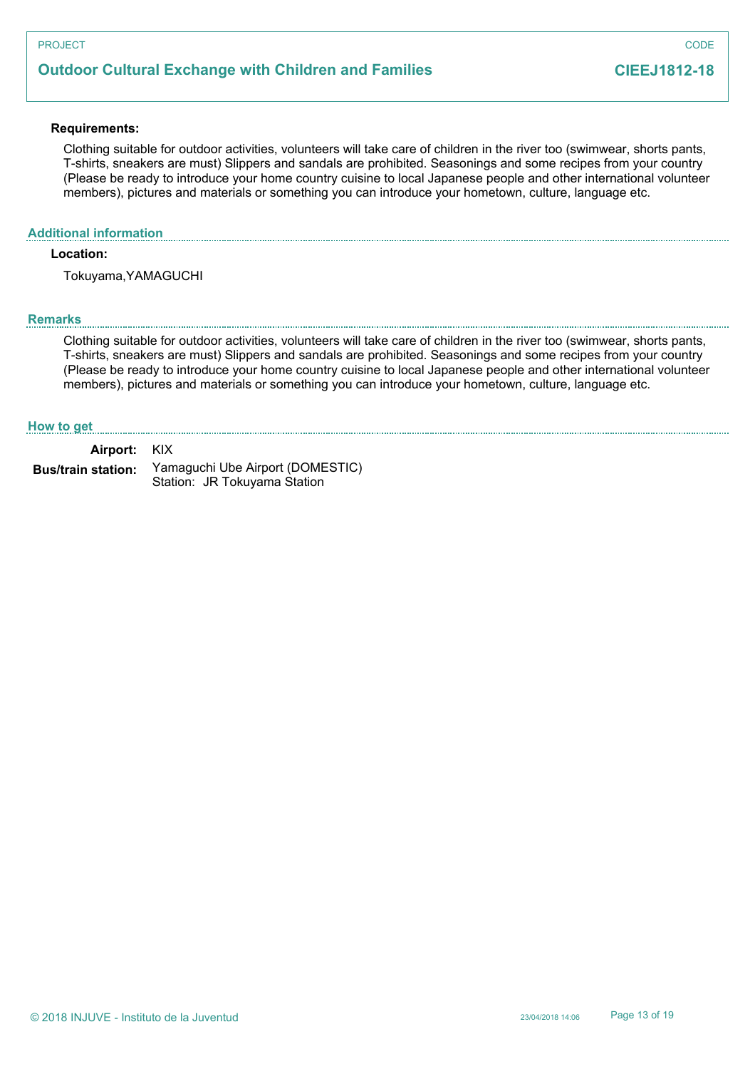# **Outdoor Cultural Exchange with Children and Families**

### **Requirements:**

Clothing suitable for outdoor activities, volunteers will take care of children in the river too (swimwear, shorts pants, T-shirts, sneakers are must) Slippers and sandals are prohibited. Seasonings and some recipes from your country (Please be ready to introduce your home country cuisine to local Japanese people and other international volunteer members), pictures and materials or something you can introduce your hometown, culture, language etc.

## **Additional information**

## **Location:**

Tokuyama,YAMAGUCHI

### **Remarks**

Clothing suitable for outdoor activities, volunteers will take care of children in the river too (swimwear, shorts pants, T-shirts, sneakers are must) Slippers and sandals are prohibited. Seasonings and some recipes from your country (Please be ready to introduce your home country cuisine to local Japanese people and other international volunteer members), pictures and materials or something you can introduce your hometown, culture, language etc.

### **How to get**

**Airport:** KIX Yamaguchi Ube Airport (DOMESTIC) **Bus/train station:**

Station: JR Tokuyama Station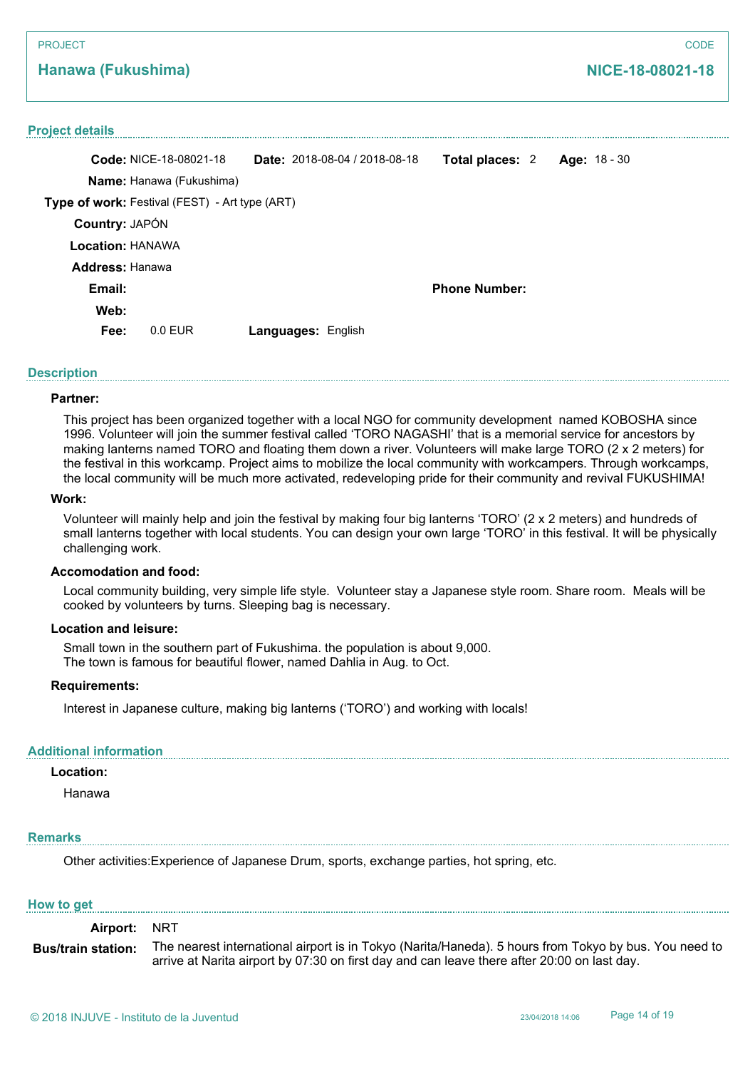## **Hanawa (Fukushima)**

### **Project details**

| <b>Date:</b> $2018-08-04/2018-08-18$           | Total places: 2      | Age: 18 - 30 |
|------------------------------------------------|----------------------|--------------|
|                                                |                      |              |
| Type of work: Festival (FEST) - Art type (ART) |                      |              |
|                                                |                      |              |
|                                                |                      |              |
|                                                |                      |              |
|                                                | <b>Phone Number:</b> |              |
|                                                |                      |              |
| <b>Languages: English</b>                      |                      |              |
|                                                |                      |              |

### **Description**

### **Partner:**

This project has been organized together with a local NGO for community development named KOBOSHA since 1996. Volunteer will join the summer festival called 'TORO NAGASHI' that is a memorial service for ancestors by making lanterns named TORO and floating them down a river. Volunteers will make large TORO (2 x 2 meters) for the festival in this workcamp. Project aims to mobilize the local community with workcampers. Through workcamps, the local community will be much more activated, redeveloping pride for their community and revival FUKUSHIMA!

### **Work:**

Volunteer will mainly help and join the festival by making four big lanterns 'TORO' (2 x 2 meters) and hundreds of small lanterns together with local students. You can design your own large 'TORO' in this festival. It will be physically challenging work.

### **Accomodation and food:**

Local community building, very simple life style. Volunteer stay a Japanese style room. Share room. Meals will be cooked by volunteers by turns. Sleeping bag is necessary.

### **Location and leisure:**

Small town in the southern part of Fukushima. the population is about 9,000. The town is famous for beautiful flower, named Dahlia in Aug. to Oct.

#### **Requirements:**

Interest in Japanese culture, making big lanterns ('TORO') and working with locals!

### **Additional information**

## **Location:**

Hanawa

### **Remarks**

Other activities:Experience of Japanese Drum, sports, exchange parties, hot spring, etc.

#### **How to get**

**Airport:** NRT The nearest international airport is in Tokyo (Narita/Haneda). 5 hours from Tokyo by bus. You need to arrive at Narita airport by 07:30 on first day and can leave there after 20:00 on last day. **Bus/train station:**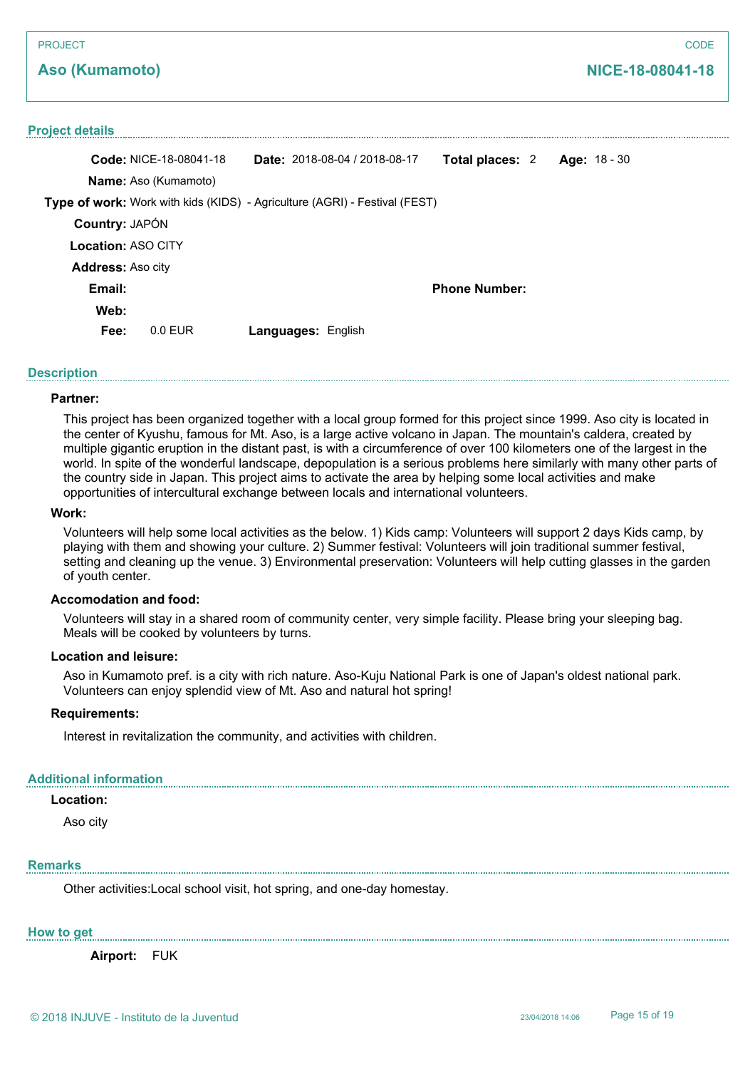## **Aso (Kumamoto)**

## **Project details**

|                           | <b>Code: NICE-18-08041-18</b> |                           | <b>Date:</b> 2018-08-04 / 2018-08-17                                              | Total places: 2      | Age: 18 - 30 |
|---------------------------|-------------------------------|---------------------------|-----------------------------------------------------------------------------------|----------------------|--------------|
|                           | <b>Name:</b> Aso (Kumamoto)   |                           |                                                                                   |                      |              |
|                           |                               |                           | <b>Type of work:</b> Work with kids (KIDS) - Agriculture (AGRI) - Festival (FEST) |                      |              |
| <b>Country: JAPÓN</b>     |                               |                           |                                                                                   |                      |              |
| <b>Location: ASO CITY</b> |                               |                           |                                                                                   |                      |              |
| Address: Aso city         |                               |                           |                                                                                   |                      |              |
| Email:                    |                               |                           |                                                                                   | <b>Phone Number:</b> |              |
| Web:                      |                               |                           |                                                                                   |                      |              |
| Fee:                      | $0.0$ EUR                     | <b>Languages: English</b> |                                                                                   |                      |              |

## **Description**

### **Partner:**

This project has been organized together with a local group formed for this project since 1999. Aso city is located in the center of Kyushu, famous for Mt. Aso, is a large active volcano in Japan. The mountain's caldera, created by multiple gigantic eruption in the distant past, is with a circumference of over 100 kilometers one of the largest in the world. In spite of the wonderful landscape, depopulation is a serious problems here similarly with many other parts of the country side in Japan. This project aims to activate the area by helping some local activities and make opportunities of intercultural exchange between locals and international volunteers.

### **Work:**

Volunteers will help some local activities as the below. 1) Kids camp: Volunteers will support 2 days Kids camp, by playing with them and showing your culture. 2) Summer festival: Volunteers will join traditional summer festival, setting and cleaning up the venue. 3) Environmental preservation: Volunteers will help cutting glasses in the garden of youth center.

### **Accomodation and food:**

Volunteers will stay in a shared room of community center, very simple facility. Please bring your sleeping bag. Meals will be cooked by volunteers by turns.

### **Location and leisure:**

Aso in Kumamoto pref. is a city with rich nature. Aso-Kuju National Park is one of Japan's oldest national park. Volunteers can enjoy splendid view of Mt. Aso and natural hot spring!

## **Requirements:**

Interest in revitalization the community, and activities with children.

### **Additional information**

## **Location:**

Aso city

### **Remarks**

Other activities:Local school visit, hot spring, and one-day homestay.

### **How to get**

**Airport:** FUK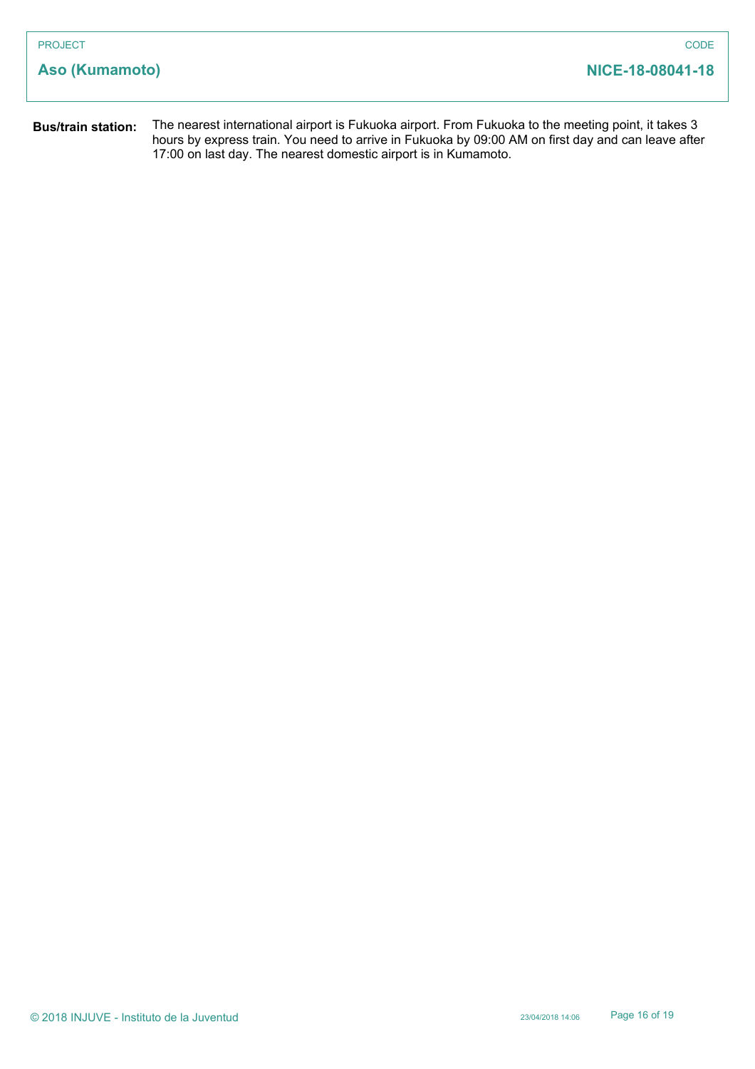| <b>PROJECT</b>            | <b>CODE</b>                                                                                                                                                                                               |
|---------------------------|-----------------------------------------------------------------------------------------------------------------------------------------------------------------------------------------------------------|
| Aso (Kumamoto)            | NICE-18-08041-18                                                                                                                                                                                          |
| <b>Bus/train station:</b> | The nearest international airport is Fukuoka airport. From Fukuoka to the meeting point, it takes 3<br>hours by express train. You need to arrive in Fukuoka by 09:00 AM on first day and can leave after |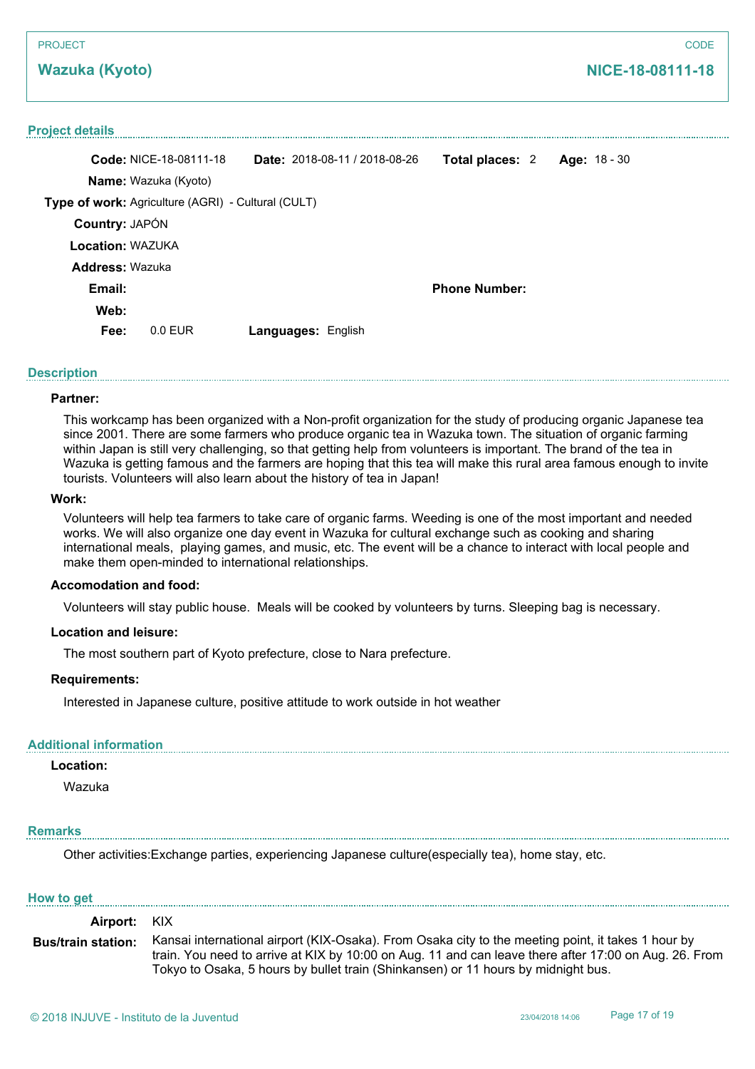## **Wazuka (Kyoto)**

### **Project details**

|                         | <b>Code: NICE-18-08111-18</b>                      |                    | Date: 2018-08-11 / 2018-08-26 | Total places: 2      | Age: 18 - 30 |  |
|-------------------------|----------------------------------------------------|--------------------|-------------------------------|----------------------|--------------|--|
|                         | <b>Name:</b> Wazuka (Kyoto)                        |                    |                               |                      |              |  |
|                         | Type of work: Agriculture (AGRI) - Cultural (CULT) |                    |                               |                      |              |  |
| <b>Country: JAPÓN</b>   |                                                    |                    |                               |                      |              |  |
| <b>Location: WAZUKA</b> |                                                    |                    |                               |                      |              |  |
| <b>Address: Wazuka</b>  |                                                    |                    |                               |                      |              |  |
| Email:                  |                                                    |                    |                               | <b>Phone Number:</b> |              |  |
| Web:                    |                                                    |                    |                               |                      |              |  |
| Fee:                    | $0.0$ EUR                                          | Languages: English |                               |                      |              |  |

## **Description**

### **Partner:**

This workcamp has been organized with a Non-profit organization for the study of producing organic Japanese tea since 2001. There are some farmers who produce organic tea in Wazuka town. The situation of organic farming within Japan is still very challenging, so that getting help from volunteers is important. The brand of the tea in Wazuka is getting famous and the farmers are hoping that this tea will make this rural area famous enough to invite tourists. Volunteers will also learn about the history of tea in Japan!

### **Work:**

Volunteers will help tea farmers to take care of organic farms. Weeding is one of the most important and needed works. We will also organize one day event in Wazuka for cultural exchange such as cooking and sharing international meals, playing games, and music, etc. The event will be a chance to interact with local people and make them open-minded to international relationships.

## **Accomodation and food:**

Volunteers will stay public house. Meals will be cooked by volunteers by turns. Sleeping bag is necessary.

## **Location and leisure:**

The most southern part of Kyoto prefecture, close to Nara prefecture.

### **Requirements:**

Interested in Japanese culture, positive attitude to work outside in hot weather

### **Additional information**

### **Location:**

Wazuka

## **Remarks**

Other activities:Exchange parties, experiencing Japanese culture(especially tea), home stay, etc.

### **How to get**

| Airport: KIX              |                                                                                                                                                                                                                                                                                                  |
|---------------------------|--------------------------------------------------------------------------------------------------------------------------------------------------------------------------------------------------------------------------------------------------------------------------------------------------|
| <b>Bus/train station:</b> | Kansai international airport (KIX-Osaka). From Osaka city to the meeting point, it takes 1 hour by<br>train. You need to arrive at KIX by 10:00 on Aug. 11 and can leave there after 17:00 on Aug. 26. From<br>Tokyo to Osaka, 5 hours by bullet train (Shinkansen) or 11 hours by midnight bus. |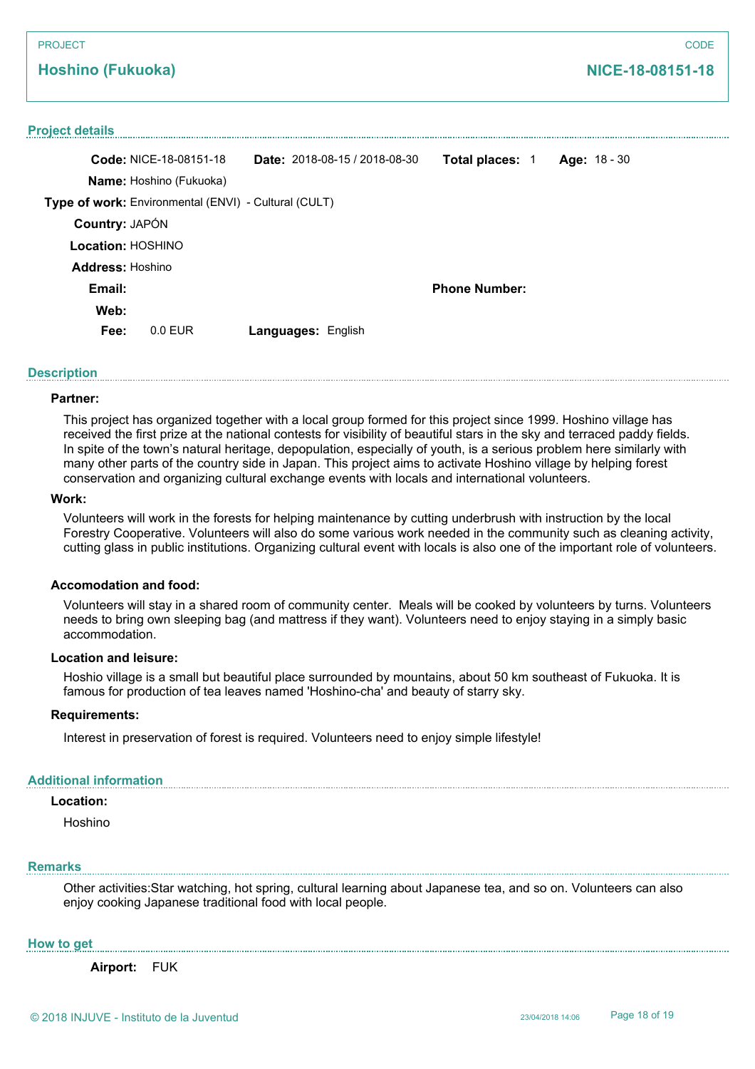## **Hoshino (Fukuoka)**

### **Project details**

|                   | <b>Code: NICE-18-08151-18</b>                        | <b>Date:</b> $2018-08-15/2018-08-30$ | <b>Total places: 1</b> | Age: 18 - 30 |
|-------------------|------------------------------------------------------|--------------------------------------|------------------------|--------------|
|                   | <b>Name:</b> Hoshino (Fukuoka)                       |                                      |                        |              |
|                   | Type of work: Environmental (ENVI) - Cultural (CULT) |                                      |                        |              |
| Country: JAPÓN    |                                                      |                                      |                        |              |
| Location: HOSHINO |                                                      |                                      |                        |              |
| Address: Hoshino  |                                                      |                                      |                        |              |
| Email:            |                                                      |                                      | <b>Phone Number:</b>   |              |
| Web:              |                                                      |                                      |                        |              |
| Fee:              | $0.0$ EUR                                            | Languages: English                   |                        |              |
|                   |                                                      |                                      |                        |              |

## **Description**

### **Partner:**

This project has organized together with a local group formed for this project since 1999. Hoshino village has received the first prize at the national contests for visibility of beautiful stars in the sky and terraced paddy fields. In spite of the town's natural heritage, depopulation, especially of youth, is a serious problem here similarly with many other parts of the country side in Japan. This project aims to activate Hoshino village by helping forest conservation and organizing cultural exchange events with locals and international volunteers.

### **Work:**

Volunteers will work in the forests for helping maintenance by cutting underbrush with instruction by the local Forestry Cooperative. Volunteers will also do some various work needed in the community such as cleaning activity, cutting glass in public institutions. Organizing cultural event with locals is also one of the important role of volunteers.

### **Accomodation and food:**

Volunteers will stay in a shared room of community center. Meals will be cooked by volunteers by turns. Volunteers needs to bring own sleeping bag (and mattress if they want). Volunteers need to enjoy staying in a simply basic accommodation.

### **Location and leisure:**

Hoshio village is a small but beautiful place surrounded by mountains, about 50 km southeast of Fukuoka. It is famous for production of tea leaves named 'Hoshino-cha' and beauty of starry sky.

### **Requirements:**

Interest in preservation of forest is required. Volunteers need to enjoy simple lifestyle!

### **Additional information**

## **Location:**

Hoshino

### **Remarks**

Other activities:Star watching, hot spring, cultural learning about Japanese tea, and so on. Volunteers can also enjoy cooking Japanese traditional food with local people.

### **How to get**

**Airport:** FUK